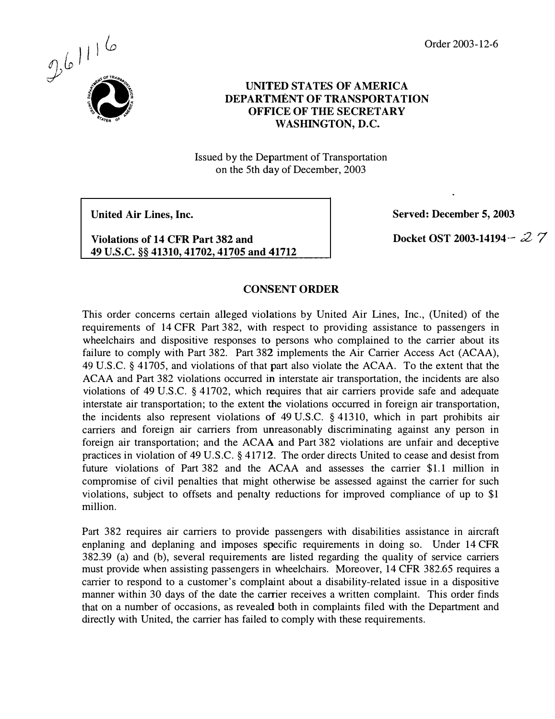Order 2003- 12-6



## UNITED STATES OF AMERICA DEPARTMENT OF TRANSPORTATION OFFICE OF THE SECRETARY WASHINGTON, D.C.

Issued by the Department of Transportation on the 5th day of December, 2003

United Air Lines, Inc.

Violations of 14 CFR Part 382 and 49 U.S.C. §§ 41310, 41702, 41705 and 41712 Served: December 5, 2003

Docket OST 2003-14194 -  $27$ 

## CONSENT ORDER

This order concerns certain alleged violations by United Air Lines, Inc., (United) of the requirements of 14 CFR Part 382, with respect to providing assistance to passengers in wheelchairs and dispositive responses to persons who complained to the carrier about its failure to comply with Part 382. Part 382 implements the Air Carrier Access Act (ACAA), 49 U.S.C. § 41705, and violations of that part also violate the ACAA. To the extent that the ACAA and Part 382 violations occurred in interstate air transportation, the incidents are also violations of 49 U.S.C. § 4 1702, which requires that air carriers provide safe and adequate interstate air transportation; to the extent the violations occurred in foreign air transportation, the incidents also represent violations of 49 U.S.C. § 41310, which in part prohibits air carriers and foreign air carriers from unreasonably discriminating against any person in foreign air transportation; and the ACAA and Part 382 violations are unfair and deceptive practices in violation of 49 U.S.C. § 4 1712. The order directs United to cease and desist from future violations of Part 382 and the ACAA and assesses the carrier \$1.1 million in compromise of civil penalties that might otherwise be assessed against the carrier for such violations, subject to offsets and penalty reductions for improved compliance of up to \$1 million.

Part 382 requires air carriers to provide passengers with disabilities assistance in aircraft enplaning and deplaning and imposes specific requirements in doing so. Under 14 CFR 382.39 (a) and (b), several requirements are listed regarding the quality of service carriers must provide when assisting passengers in wheelchairs. Moreover, 14 CFR 382.65 requires a carrier to respond to a customer's complaint about a disability-related issue in a dispositive manner within 30 days of the date the carrier receives a written complaint. This order finds that on a number of occasions, as revealed both in complaints filed with the Department and directly with United, the carrier has failed to comply with these requirements.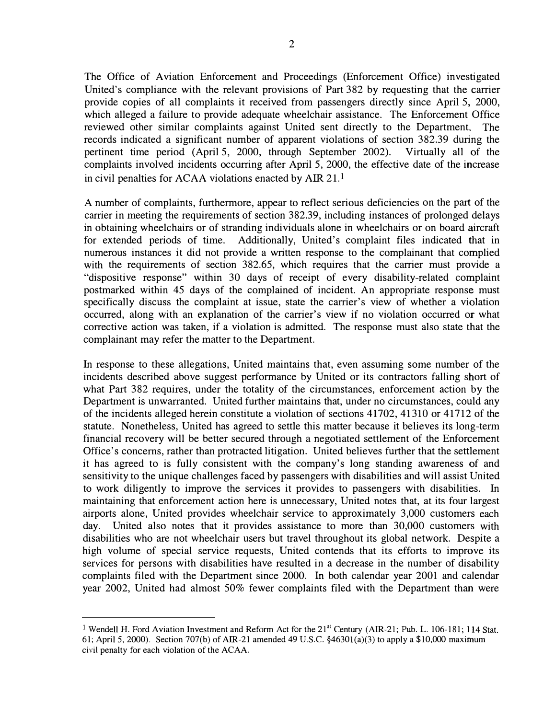The Office of Aviation Enforcement and Proceedings (Enforcement Office) investigated United's compliance with the relevant provisions of Part 382 by requesting that the carrier provide copies of all complaints it received from passengers directly since April 5, 2000, which alleged a failure to provide adequate wheelchair assistance. The Enforcement Office reviewed other similar complaints against United sent directly to the Department. The records indicated a significant number of apparent violations of section 382.39 during the pertinent time period (April 5, 2000, through September 2002). Virtually all of the complaints involved incidents occurring after April 5, 2000, the effective date of the increase in civil penalties for ACAA violations enacted by AIR  $21<sup>1</sup>$ 

A number of complaints, furthermore, appear to reflect serious deficiencies on the part of the carrier in meeting the requirements of section 382.39, including instances of prolonged delays in obtaining wheelchairs or of stranding individuals alone in wheelchairs or on board aircraft for extended periods of time. Additionally, United's complaint files indicated that in numerous instances it did not provide a written response to the complainant that complied with the requirements of section 382.65, which requires that the carrier must provide a "dispositive response" within 30 days of receipt of every disability-related complaint postmarked within 45 days of the complained of incident. An appropriate response must specifically discuss the complaint at issue, state the carrier's view of whether a violation occurred, along with an explanation of the carrier's view if no violation occurred or what corrective action was taken, if a violation is admitted. The response must also state that the complainant may refer the matter to the Department.

In response to these allegations, United maintains that, even assuming some number of the incidents described above suggest performance by United or its contractors falling short of what Part 382 requires, under the totality of the circumstances, enforcement action by the Department is unwarranted. United further maintains that, under no circumstances, could any of the incidents alleged herein constitute a violation of sections 41702, 41310 or 4 17 12 of the statute. Nonetheless, United has agreed to settle this matter because it believes its long-term financial recovery will be better secured through a negotiated settlement of the Enforcement Office's concerns, rather than protracted litigation. United believes further that the settlement it has agreed to is fully consistent with the company's long standing awareness of and sensitivity to the unique challenges faced by passengers with disabilities and will assist United to work diligently to improve the services it provides to passengers with disabilities. In maintaining that enforcement action here is unnecessary, United notes that, at its four largest airports alone, United provides wheelchair service to approximately 3,000 customers each day. United also notes that it provides assistance to more than 30,000 customers with disabilities who are not wheelchair users but travel throughout its global network. Despite a high volume of special service requests, United contends that its efforts to improve its services for persons with disabilities have resulted in a decrease in the number of disability complaints filed with the Department since 2000. In both calendar year 2001 and calendar year 2002, United had almost 50% fewer complaints filed with the Department than were

<sup>&</sup>lt;sup>1</sup> Wendell H. Ford Aviation Investment and Reform Act for the 21<sup>st</sup> Century (AIR-21; Pub. L. 106-181; 114 Stat. 61; April 5, 2000). Section 707(b) of AIR-21 amended 49 U.S.C. §4630l(a)(3) to apply a \$10,000 maximum civil penalty for each violation of the ACAA.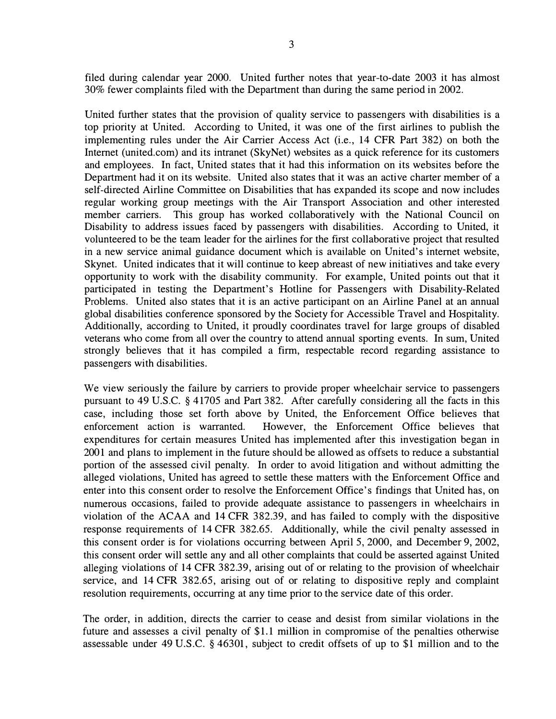filed during calendar year 2000. United further notes that year-to-date 2003 it has almost 30% fewer complaints filed with the Department than during the same period in 2002.

United further states that the provision of quality service to passengers with disabilities is a top priority at United. According to United, it was one of the first airlines to publish the implementing rules under the Air Carrier Access Act (i.e., 14 CFR Part 382) on both the Internet (united.com) and its intranet (SkyNet) websites as a quick reference for its customers and employees. In fact, United states that it had this information on its websites before the Department had it on its website. United also states that it was an active charter member of a self-directed Airline Committee on Disabilities that has expanded its scope and now includes regular working group meetings with the Air Transport Association and other interested member carriers. This group has worked collaboratively with the National Council on Disability to address issues faced by passengers with disabilities. According to United, it volunteered to be the team leader for the airlines for the first collaborative project that resulted in a new service animal guidance document which is available on United's internet website, Skynet. United indicates that it will continue to keep abreast of new initiatives and take every opportunity to work with the disability community. For example, United points out that it participated in testing the Department's Hotline for Passengers with Disability-Related Problems. United also states that it is an active participant on an Airline Panel at an annual global disabilities conference sponsored by the Society for Accessible Travel and Hospitality. Additionally, according to United, it proudly coordinates travel for large groups of disabled veterans who come from all over the country to attend annual sporting events. In sum, United strongly believes that it has compiled a firm, respectable record regarding assistance to passengers with disabilities.

We view seriously the failure by carriers to provide proper wheelchair service to passengers pursuant to 49 U.S.C. § 4 1705 and Part 382. After carefully considering all the facts in this case, including those set forth above by United, the Enforcement Office believes that enforcement action is warranted. However, the Enforcement Office believes that expenditures for certain measures United has implemented after this investigation began in 2001 and plans to implement in the future should be allowed as offsets to reduce a substantial portion of the assessed civil penalty. In order to avoid litigation and without admitting the alleged violations, United has agreed to settle these matters with the Enforcement Office and enter into this consent order to resolve the Enforcement Office's findings that United has, on numerous occasions, failed to provide adequate assistance to passengers in wheelchairs in violation of the ACAA and 14 CFR 382.39, and has failed to comply with the dispositive response requirements of 14 CFR 382.65. Additionally, while the civil penalty assessed in this consent order is for violations occurring between April 5, 2000, and December 9, 2002, this consent order will settle any and all other complaints that could be asserted against United alleging violations of 14 CFR 382.39, arising out of or relating to the provision of wheelchair service, and 14 CFR 382.65, arising out of or relating to dispositive reply and complaint resolution requirements, occurring at any time prior to the service date of this order.

The order, in addition, directs the carrier to cease and desist from similar violations in the future and assesses a civil penalty of \$1.1 million in compromise of the penalties otherwise assessable under 49 U.S.C. § 46301, subject to credit offsets of up to \$1 million and to the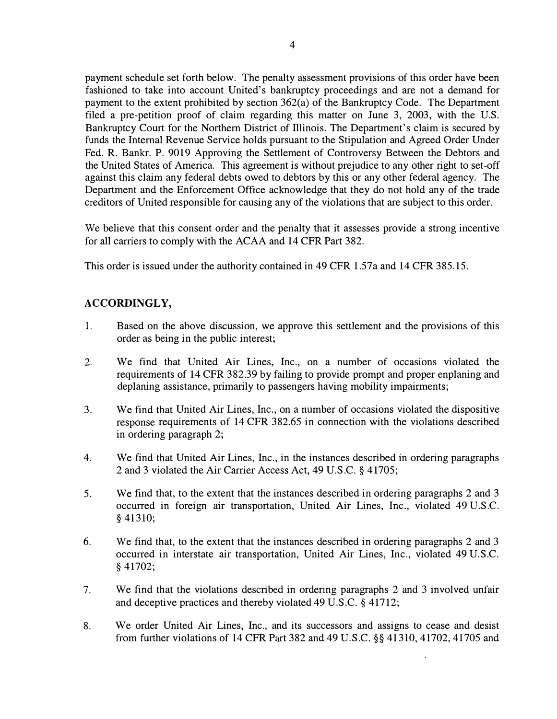payment schedule set forth below. The penalty assessment provisions of this order have been fashioned to take into account United's bankruptcy proceedings and are not a demand for payment to the extent prohibited by section 362(a) of the Bankruptcy Code. The Department filed a pre-petition proof of claim regarding this matter on June 3, 2003, with the U.S. Bankruptcy Court for the Northern District of Illinois. The Department's claim is secured by funds the Internal Revenue Service holds pursuant to the Stipulation and Agreed Order Under Fed. R. Bankr. P. 9019 Approving the Settlement of Controversy Between the Debtors and the United States of America. This agreement is without prejudice to any other right to set-off against this claim any federal debts owed to debtors by this or any other federal agency. The Department and the Enforcement Office acknowledge that they do not hold any of the trade creditors of United responsible for causing any of the violations that are subject to this order.

We believe that this consent order and the penalty that it assesses provide a strong incentive for all carriers to comply with the ACAA and 14 CFR Part 382.

This order is issued under the authority contained in 49 CFR 1.57a and 14 CFR 385. 15.

## ACCORDINGLY,

- 1. Based on the above discussion, we approve this settlement and the provisions of this order as being in the public interest;
- 2. We find that United Air Lines, Inc., on a number of occasions violated the requirements of 14 CFR 382.39 by failing to provide prompt and proper enplaning and deplaning assistance, primarily to passengers having mobility impairments;
- 3. We find that United Air Lines, Inc., on a number of occasions violated the dispositive response requirements of 14 CFR 382.65 in connection with the violations described in ordering paragraph 2;
- 4. We find that United Air Lines, Inc., in the instances described in ordering paragraphs 2 and 3 violated the Air Carrier Access Act, 49 U.S.C. § 4 1705;
- 5. We find that, to the extent that the instances described in ordering paragraphs 2 and 3 occurred in foreign air transportation, United Air Lines, Inc., violated 49 U.S.C. § 41310;
- 6. We find that, to the extent that the instances described in ordering paragraphs 2 and 3 occurred in interstate air transportation, United Air Lines, Inc., violated 49 U.S.C. § 41702;
- 7. We find that the violations described in ordering paragraphs 2 and 3 involved unfair and deceptive practices and thereby violated 49 U.S.C. § 41712;
- 8. We order United Air Lines, Inc., and its successors and assigns to cease and desist from further violations of 14 CFR Part 382 and 49 U.S.C. §§ 41310, 41702, 41705 and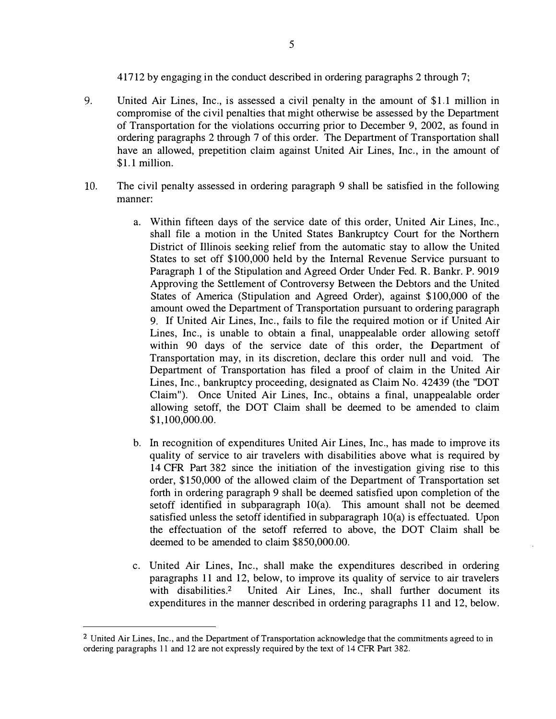417 12 by engaging in the conduct described in ordering paragraphs 2 through 7;

- 9. United Air Lines, Inc., is assessed a civil penalty in the amount of \$1.1 million in compromise of the civil penalties that might otherwise be assessed by the Department of Transportation for the violations occurring prior to December 9, 2002, as found in ordering paragraphs 2 through 7 of this order. The Department of Transportation shall have an allowed, prepetition claim against United Air Lines, Inc., in the amount of \$1.1 million.
- 10. The civil penalty assessed in ordering paragraph 9 shall be satisfied in the following manner:
	- a. Within fifteen days of the service date of this order, United Air Lines, Inc., shall file a motion in the United States Bankruptcy Court for the Northern District of Illinois seeking relief from the automatic stay to allow the United States to set off \$ 100,000 held by the Internal Revenue Service pursuant to Paragraph 1 of the Stipulation and Agreed Order Under Fed. R. Bankr. P. 9019 Approving the Settlement of Controversy Between the Debtors and the United States of America (Stipulation and Agreed Order), against \$100,000 of the amount owed the Department of Transportation pursuant to ordering paragraph 9. If United Air Lines, Inc., fails to file the required motion or if United Air Lines, Inc., is unable to obtain a final, unappealable order allowing setoff within 90 days of the service date of this order, the Department of Transportation may, in its discretion, declare this order null and void. The Department of Transportation has filed a proof of claim in the United Air Lines, Inc., bankruptcy proceeding, designated as Claim No. 42439 (the "DOT Claim"). Once United Air Lines, Inc., obtains a final, unappealable order allowing setoff, the DOT Claim shall be deemed to be amended to claim \$ 1, 100,000.00.
	- b. In recognition of expenditures United Air Lines, Inc., has made to improve its quality of service to air travelers with disabilities above what is required by 14 CFR Part 382 since the initiation of the investigation giving rise to this order, \$ 150,000 of the allowed claim of the Department of Transportation set forth in ordering paragraph 9 shall be deemed satisfied upon completion of the setoff identified in subparagraph  $10(a)$ . This amount shall not be deemed satisfied unless the setoff identified in subparagraph 10(a) is effectuated. Upon the effectuation of the setoff referred to above, the DOT Claim shall be deemed to be amended to claim \$850,000.00.
	- c. United Air Lines, Inc., shall make the expenditures described in ordering paragraphs 11 and 12, below, to improve its quality of service to air travelers with disabilities.<sup>2</sup> United Air Lines, Inc., shall further document its expenditures in the manner described in ordering paragraphs 11 and 12, below.

<sup>2</sup> United Air Lines, Inc., and the Department of Transportation acknowledge that the commitments agreed to in ordering paragraphs 11 and 12 are not expressly required by the text of 14 CFR Part 382.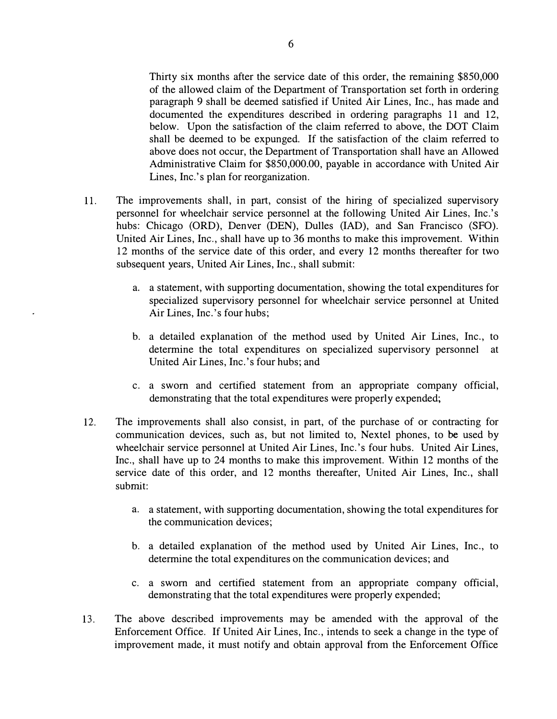Thirty six months after the service date of this order, the remaining \$850,000 of the allowed claim of the Department of Transportation set forth in ordering paragraph 9 shall be deemed satisfied if United Air Lines, Inc., has made and documented the expenditures described in ordering paragraphs 11 and 12, below. Upon the satisfaction of the claim referred to above, the DOT Claim shall be deemed to be expunged. If the satisfaction of the claim referred to above does not occur, the Department of Transportation shall have an Allowed Administrative Claim for \$850,000.00, payable in accordance with United Air Lines, Inc.'s plan for reorganization.

- 11. The improvements shall, in part, consist of the hiring of specialized supervisory personnel for wheelchair service personnel at the following United Air Lines, Inc.'s hubs: Chicago (ORD), Denver (DEN), Dulles (IAD), and San Francisco (SFO). United Air Lines, Inc., shall have up to 36 months to make this improvement. Within 12 months of the service date of this order, and every 12 months thereafter for two subsequent years, United Air Lines, Inc., shall submit:
	- a. a statement, with supporting documentation, showing the total expenditures for specialized supervisory personnel for wheelchair service personnel at United Air Lines, Inc.'s four hubs;
	- b. a detailed explanation of the method used by United Air Lines, Inc., to determine the total expenditures on specialized supervisory personnel at United Air Lines, Inc.'s four hubs; and
	- c. a sworn and certified statement from an appropriate company official, demonstrating that the total expenditures were properly expended;
- 12. The improvements shall also consist, in part, of the purchase of or contracting for communication devices, such as, but not limited to, Nextel phones, to be used by wheelchair service personnel at United Air Lines, Inc.'s four hubs. United Air Lines, Inc., shall have up to 24 months to make this improvement. Within 12 months of the service date of this order, and 12 months thereafter, United Air Lines, Inc., shall submit:
	- a. a statement, with supporting documentation, showing the total expenditures for the communication devices;
	- b. a detailed explanation of the method used by United Air Lines, Inc., to determine the total expenditures on the communication devices; and
	- c. a sworn and certified statement from an appropriate company official, demonstrating that the total expenditures were properly expended;
- 13. The above described improvements may be amended with the approval of the Enforcement Office. If United Air Lines, Inc., intends to seek a change in the type of improvement made, it must notify and obtain approval from the Enforcement Office